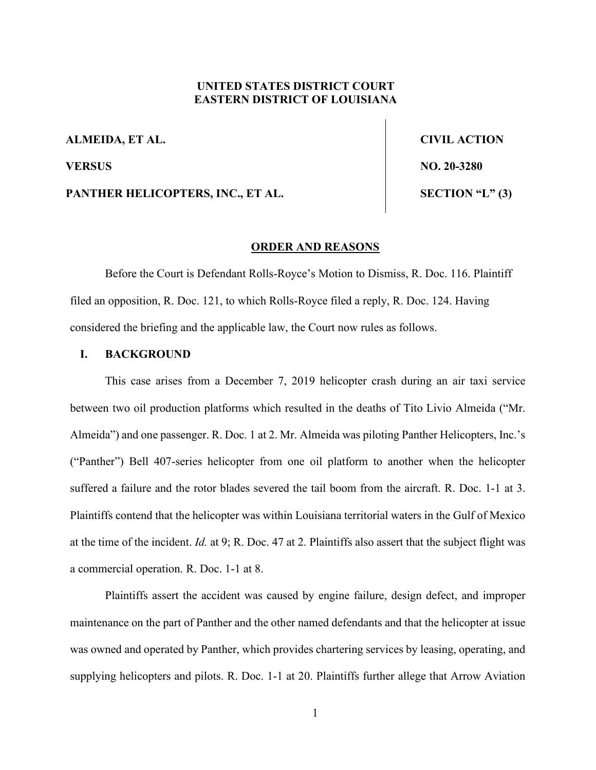# **UNITED STATES DISTRICT COURT EASTERN DISTRICT OF LOUISIANA**

**ALMEIDA, ET AL. CIVIL ACTION**

PANTHER HELICOPTERS, INC., ET AL. SECTION "L" (3)

**VERSUS** NO. 20-3280

## **ORDER AND REASONS**

Before the Court is Defendant Rolls-Royce's Motion to Dismiss, R. Doc. 116. Plaintiff filed an opposition, R. Doc. 121, to which Rolls-Royce filed a reply, R. Doc. 124. Having considered the briefing and the applicable law, the Court now rules as follows.

## **I. BACKGROUND**

This case arises from a December 7, 2019 helicopter crash during an air taxi service between two oil production platforms which resulted in the deaths of Tito Livio Almeida ("Mr. Almeida") and one passenger. R. Doc. 1 at 2. Mr. Almeida was piloting Panther Helicopters, Inc.'s ("Panther") Bell 407-series helicopter from one oil platform to another when the helicopter suffered a failure and the rotor blades severed the tail boom from the aircraft. R. Doc. 1-1 at 3. Plaintiffs contend that the helicopter was within Louisiana territorial waters in the Gulf of Mexico at the time of the incident. *Id.* at 9; R. Doc. 47 at 2. Plaintiffs also assert that the subject flight was a commercial operation. R. Doc. 1-1 at 8.

Plaintiffs assert the accident was caused by engine failure, design defect, and improper maintenance on the part of Panther and the other named defendants and that the helicopter at issue was owned and operated by Panther, which provides chartering services by leasing, operating, and supplying helicopters and pilots. R. Doc. 1-1 at 20. Plaintiffs further allege that Arrow Aviation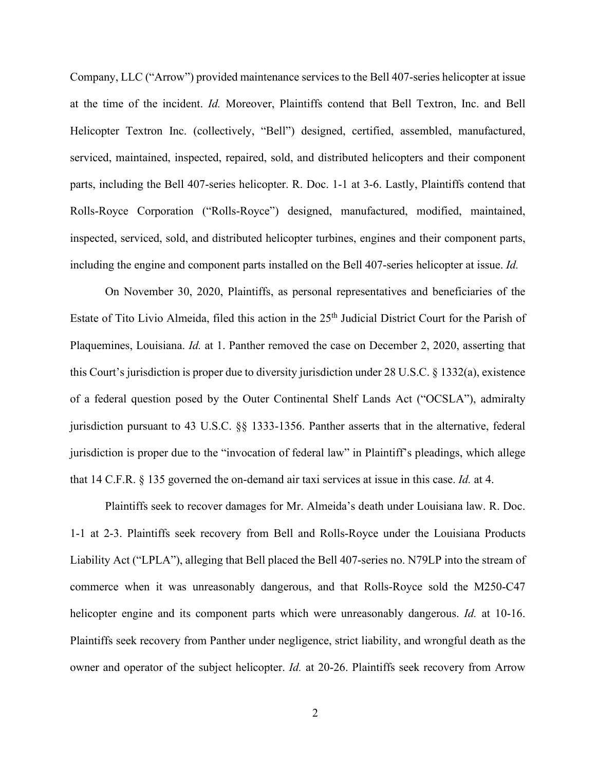Company, LLC ("Arrow") provided maintenance services to the Bell 407-series helicopter at issue at the time of the incident. *Id.* Moreover, Plaintiffs contend that Bell Textron, Inc. and Bell Helicopter Textron Inc. (collectively, "Bell") designed, certified, assembled, manufactured, serviced, maintained, inspected, repaired, sold, and distributed helicopters and their component parts, including the Bell 407-series helicopter. R. Doc. 1-1 at 3-6. Lastly, Plaintiffs contend that Rolls-Royce Corporation ("Rolls-Royce") designed, manufactured, modified, maintained, inspected, serviced, sold, and distributed helicopter turbines, engines and their component parts, including the engine and component parts installed on the Bell 407-series helicopter at issue. *Id.*

On November 30, 2020, Plaintiffs, as personal representatives and beneficiaries of the Estate of Tito Livio Almeida, filed this action in the 25<sup>th</sup> Judicial District Court for the Parish of Plaquemines, Louisiana. *Id.* at 1. Panther removed the case on December 2, 2020, asserting that this Court's jurisdiction is proper due to diversity jurisdiction under 28 U.S.C. § 1332(a), existence of a federal question posed by the Outer Continental Shelf Lands Act ("OCSLA"), admiralty jurisdiction pursuant to 43 U.S.C. §§ 1333-1356. Panther asserts that in the alternative, federal jurisdiction is proper due to the "invocation of federal law" in Plaintiff's pleadings, which allege that 14 C.F.R. § 135 governed the on-demand air taxi services at issue in this case. *Id.* at 4.

Plaintiffs seek to recover damages for Mr. Almeida's death under Louisiana law. R. Doc. 1-1 at 2-3. Plaintiffs seek recovery from Bell and Rolls-Royce under the Louisiana Products Liability Act ("LPLA"), alleging that Bell placed the Bell 407-series no. N79LP into the stream of commerce when it was unreasonably dangerous, and that Rolls-Royce sold the M250-C47 helicopter engine and its component parts which were unreasonably dangerous. *Id.* at 10-16. Plaintiffs seek recovery from Panther under negligence, strict liability, and wrongful death as the owner and operator of the subject helicopter. *Id.* at 20-26. Plaintiffs seek recovery from Arrow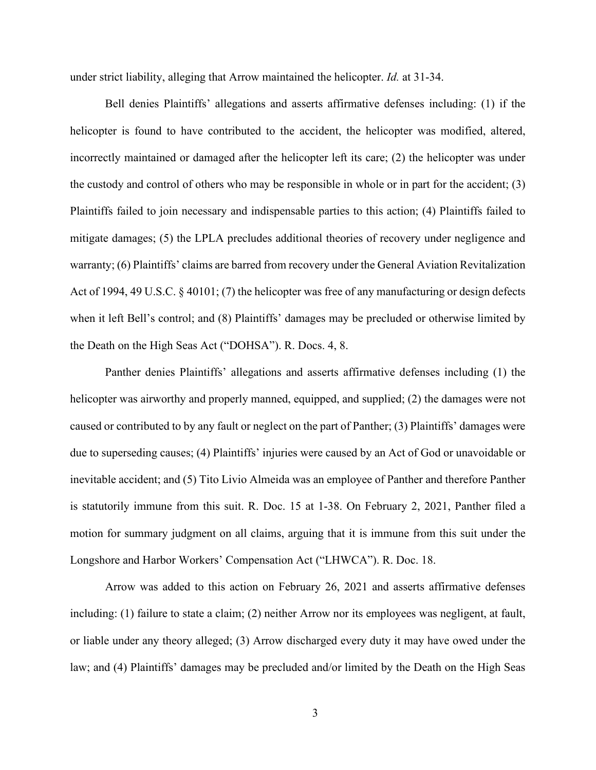under strict liability, alleging that Arrow maintained the helicopter. *Id.* at 31-34.

Bell denies Plaintiffs' allegations and asserts affirmative defenses including: (1) if the helicopter is found to have contributed to the accident, the helicopter was modified, altered, incorrectly maintained or damaged after the helicopter left its care; (2) the helicopter was under the custody and control of others who may be responsible in whole or in part for the accident; (3) Plaintiffs failed to join necessary and indispensable parties to this action; (4) Plaintiffs failed to mitigate damages; (5) the LPLA precludes additional theories of recovery under negligence and warranty; (6) Plaintiffs' claims are barred from recovery under the General Aviation Revitalization Act of 1994, 49 U.S.C. § 40101; (7) the helicopter was free of any manufacturing or design defects when it left Bell's control; and (8) Plaintiffs' damages may be precluded or otherwise limited by the Death on the High Seas Act ("DOHSA"). R. Docs. 4, 8.

Panther denies Plaintiffs' allegations and asserts affirmative defenses including (1) the helicopter was airworthy and properly manned, equipped, and supplied; (2) the damages were not caused or contributed to by any fault or neglect on the part of Panther; (3) Plaintiffs' damages were due to superseding causes; (4) Plaintiffs' injuries were caused by an Act of God or unavoidable or inevitable accident; and (5) Tito Livio Almeida was an employee of Panther and therefore Panther is statutorily immune from this suit. R. Doc. 15 at 1-38. On February 2, 2021, Panther filed a motion for summary judgment on all claims, arguing that it is immune from this suit under the Longshore and Harbor Workers' Compensation Act ("LHWCA"). R. Doc. 18.

Arrow was added to this action on February 26, 2021 and asserts affirmative defenses including: (1) failure to state a claim; (2) neither Arrow nor its employees was negligent, at fault, or liable under any theory alleged; (3) Arrow discharged every duty it may have owed under the law; and (4) Plaintiffs' damages may be precluded and/or limited by the Death on the High Seas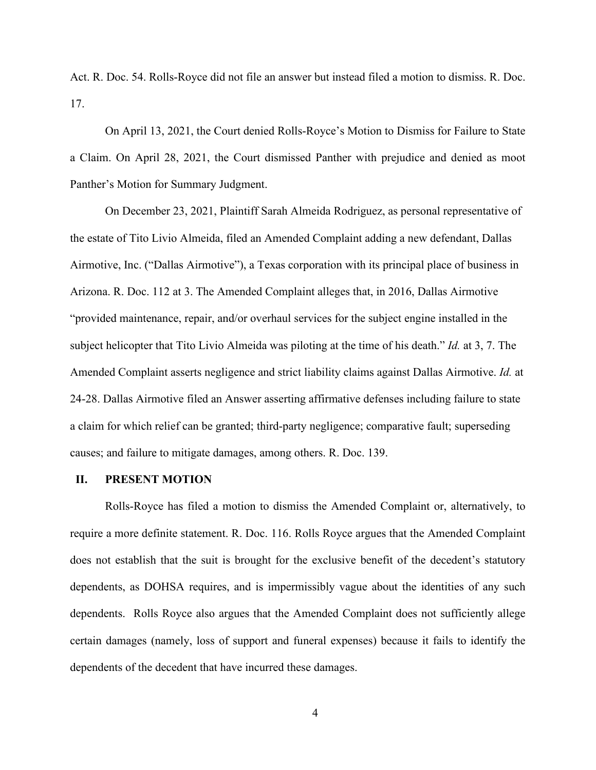Act. R. Doc. 54. Rolls-Royce did not file an answer but instead filed a motion to dismiss. R. Doc. 17.

On April 13, 2021, the Court denied Rolls-Royce's Motion to Dismiss for Failure to State a Claim. On April 28, 2021, the Court dismissed Panther with prejudice and denied as moot Panther's Motion for Summary Judgment.

On December 23, 2021, Plaintiff Sarah Almeida Rodriguez, as personal representative of the estate of Tito Livio Almeida, filed an Amended Complaint adding a new defendant, Dallas Airmotive, Inc. ("Dallas Airmotive"), a Texas corporation with its principal place of business in Arizona. R. Doc. 112 at 3. The Amended Complaint alleges that, in 2016, Dallas Airmotive "provided maintenance, repair, and/or overhaul services for the subject engine installed in the subject helicopter that Tito Livio Almeida was piloting at the time of his death." *Id.* at 3, 7. The Amended Complaint asserts negligence and strict liability claims against Dallas Airmotive. *Id.* at 24-28. Dallas Airmotive filed an Answer asserting affirmative defenses including failure to state a claim for which relief can be granted; third-party negligence; comparative fault; superseding causes; and failure to mitigate damages, among others. R. Doc. 139.

## **II. PRESENT MOTION**

Rolls-Royce has filed a motion to dismiss the Amended Complaint or, alternatively, to require a more definite statement. R. Doc. 116. Rolls Royce argues that the Amended Complaint does not establish that the suit is brought for the exclusive benefit of the decedent's statutory dependents, as DOHSA requires, and is impermissibly vague about the identities of any such dependents. Rolls Royce also argues that the Amended Complaint does not sufficiently allege certain damages (namely, loss of support and funeral expenses) because it fails to identify the dependents of the decedent that have incurred these damages.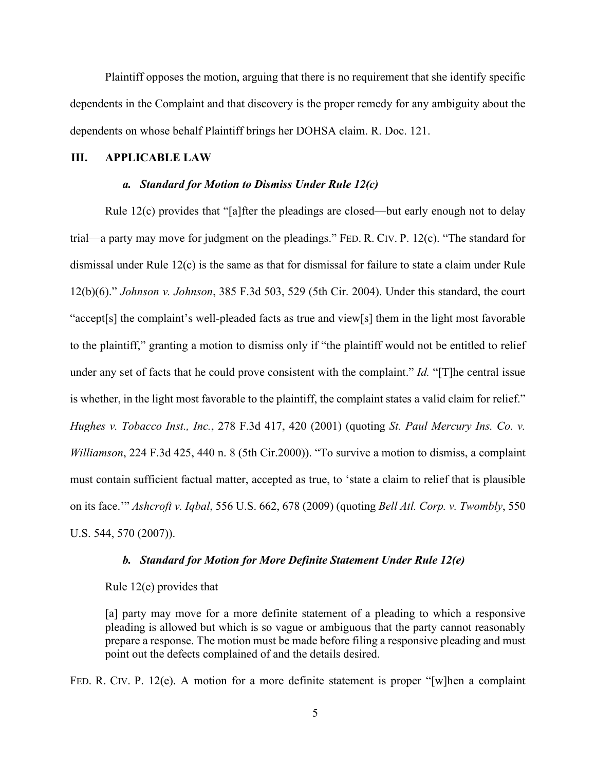Plaintiff opposes the motion, arguing that there is no requirement that she identify specific dependents in the Complaint and that discovery is the proper remedy for any ambiguity about the dependents on whose behalf Plaintiff brings her DOHSA claim. R. Doc. 121.

## **III. APPLICABLE LAW**

## *a. Standard for Motion to Dismiss Under Rule 12(c)*

Rule 12(c) provides that "[a]fter the pleadings are closed—but early enough not to delay trial—a party may move for judgment on the pleadings." FED. R. CIV. P. 12(c). "The standard for dismissal under Rule 12(c) is the same as that for dismissal for failure to state a claim under Rule 12(b)(6)." *Johnson v. Johnson*, 385 F.3d 503, 529 (5th Cir. 2004). Under this standard, the court "accept[s] the complaint's well-pleaded facts as true and view[s] them in the light most favorable to the plaintiff," granting a motion to dismiss only if "the plaintiff would not be entitled to relief under any set of facts that he could prove consistent with the complaint." *Id.* "[T]he central issue is whether, in the light most favorable to the plaintiff, the complaint states a valid claim for relief." *Hughes v. Tobacco Inst., Inc.*, 278 F.3d 417, 420 (2001) (quoting *St. Paul Mercury Ins. Co. v. Williamson*, 224 F.3d 425, 440 n. 8 (5th Cir.2000)). "To survive a motion to dismiss, a complaint must contain sufficient factual matter, accepted as true, to 'state a claim to relief that is plausible on its face.'" *Ashcroft v. Iqbal*, 556 U.S. 662, 678 (2009) (quoting *Bell Atl. Corp. v. Twombly*, 550 U.S. 544, 570 (2007)).

#### *b. Standard for Motion for More Definite Statement Under Rule 12(e)*

#### Rule 12(e) provides that

[a] party may move for a more definite statement of a pleading to which a responsive pleading is allowed but which is so vague or ambiguous that the party cannot reasonably prepare a response. The motion must be made before filing a responsive pleading and must point out the defects complained of and the details desired.

FED. R. CIV. P. 12(e). A motion for a more definite statement is proper "[w]hen a complaint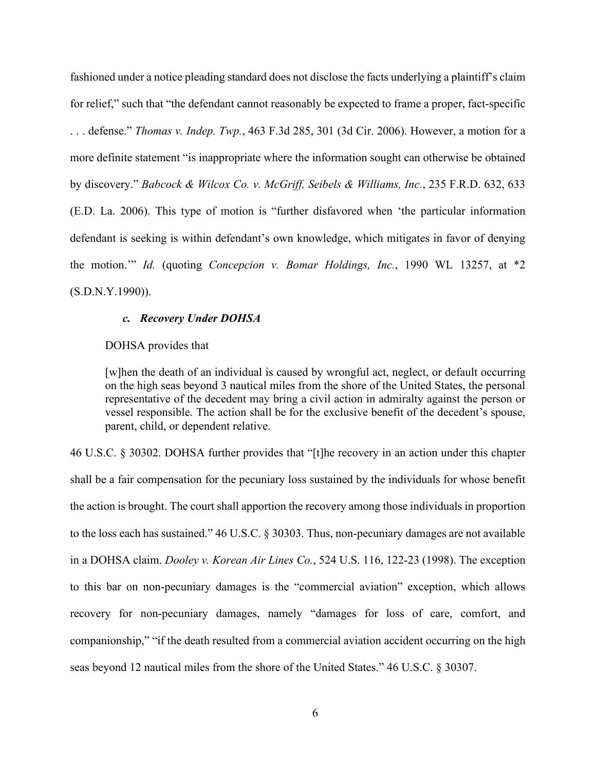fashioned under a notice pleading standard does not disclose the facts underlying a plaintiff's claim for relief," such that "the defendant cannot reasonably be expected to frame a proper, fact-specific . . . defense." *Thomas v. Indep. Twp.*, 463 F.3d 285, 301 (3d Cir. 2006). However, a motion for a more definite statement "is inappropriate where the information sought can otherwise be obtained by discovery." *Babcock & Wilcox Co. v. McGriff, Seibels & Williams, Inc.*, 235 F.R.D. 632, 633 (E.D. La. 2006). This type of motion is "further disfavored when 'the particular information defendant is seeking is within defendant's own knowledge, which mitigates in favor of denying the motion.'" *Id.* (quoting *Concepcion v. Bomar Holdings, Inc.*, 1990 WL 13257, at \*2 (S.D.N.Y.1990)).

### *c. Recovery Under DOHSA*

## DOHSA provides that

[w]hen the death of an individual is caused by wrongful act, neglect, or default occurring on the high seas beyond 3 nautical miles from the shore of the United States, the personal representative of the decedent may bring a civil action in admiralty against the person or vessel responsible. The action shall be for the exclusive benefit of the decedent's spouse, parent, child, or dependent relative.

46 U.S.C. § 30302. DOHSA further provides that "[t]he recovery in an action under this chapter shall be a fair compensation for the pecuniary loss sustained by the individuals for whose benefit the action is brought. The court shall apportion the recovery among those individuals in proportion to the loss each has sustained." 46 U.S.C. § 30303. Thus, non-pecuniary damages are not available in a DOHSA claim. *Dooley v. Korean Air Lines Co.*, 524 U.S. 116, 122-23 (1998). The exception to this bar on non-pecuniary damages is the "commercial aviation" exception, which allows recovery for non-pecuniary damages, namely "damages for loss of care, comfort, and companionship," "if the death resulted from a commercial aviation accident occurring on the high seas beyond 12 nautical miles from the shore of the United States." 46 U.S.C. § 30307.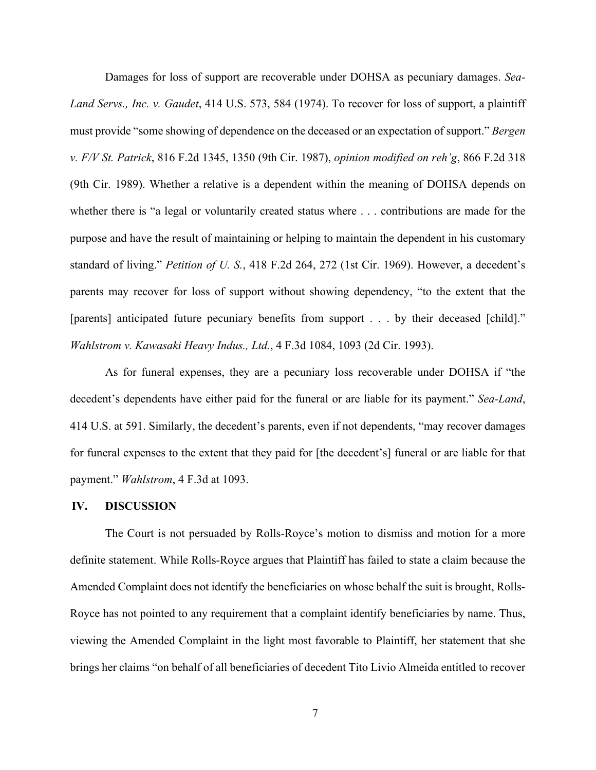Damages for loss of support are recoverable under DOHSA as pecuniary damages. *Sea-Land Servs., Inc. v. Gaudet*, 414 U.S. 573, 584 (1974). To recover for loss of support, a plaintiff must provide "some showing of dependence on the deceased or an expectation of support." *Bergen v. F/V St. Patrick*, 816 F.2d 1345, 1350 (9th Cir. 1987), *opinion modified on reh'g*, 866 F.2d 318 (9th Cir. 1989). Whether a relative is a dependent within the meaning of DOHSA depends on whether there is "a legal or voluntarily created status where . . . contributions are made for the purpose and have the result of maintaining or helping to maintain the dependent in his customary standard of living." *Petition of U. S.*, 418 F.2d 264, 272 (1st Cir. 1969). However, a decedent's parents may recover for loss of support without showing dependency, "to the extent that the [parents] anticipated future pecuniary benefits from support . . . by their deceased [child]." *Wahlstrom v. Kawasaki Heavy Indus., Ltd.*, 4 F.3d 1084, 1093 (2d Cir. 1993).

As for funeral expenses, they are a pecuniary loss recoverable under DOHSA if "the decedent's dependents have either paid for the funeral or are liable for its payment." *Sea-Land*, 414 U.S. at 591. Similarly, the decedent's parents, even if not dependents, "may recover damages for funeral expenses to the extent that they paid for [the decedent's] funeral or are liable for that payment." *Wahlstrom*, 4 F.3d at 1093.

## **IV. DISCUSSION**

The Court is not persuaded by Rolls-Royce's motion to dismiss and motion for a more definite statement. While Rolls-Royce argues that Plaintiff has failed to state a claim because the Amended Complaint does not identify the beneficiaries on whose behalf the suit is brought, Rolls-Royce has not pointed to any requirement that a complaint identify beneficiaries by name. Thus, viewing the Amended Complaint in the light most favorable to Plaintiff, her statement that she brings her claims "on behalf of all beneficiaries of decedent Tito Livio Almeida entitled to recover